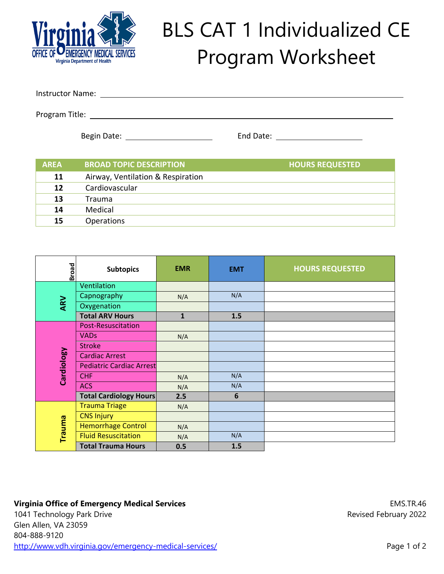

## BLS CAT 1 Individualized CE Program Worksheet

Instructor Name:

Program Title:

Begin Date: End Date:

| <b>AREA</b> | <b>BROAD TOPIC DESCRIPTION</b>    | <b>HOURS REQUESTED</b> |
|-------------|-----------------------------------|------------------------|
| 11          | Airway, Ventilation & Respiration |                        |
| 12          | Cardiovascular                    |                        |
| 13          | Trauma                            |                        |
| 14          | Medical                           |                        |
| 15          | <b>Operations</b>                 |                        |

| <b>Broad</b>  | <b>Subtopics</b>                | <b>EMR</b>   | <b>EMT</b>      | <b>HOURS REQUESTED</b> |
|---------------|---------------------------------|--------------|-----------------|------------------------|
| ARV           | Ventilation                     |              |                 |                        |
|               | Capnography                     | N/A          | N/A             |                        |
|               | Oxygenation                     |              |                 |                        |
|               | <b>Total ARV Hours</b>          | $\mathbf{1}$ | 1.5             |                        |
| Cardiology    | <b>Post-Resuscitation</b>       |              |                 |                        |
|               | <b>VADs</b>                     | N/A          |                 |                        |
|               | <b>Stroke</b>                   |              |                 |                        |
|               | <b>Cardiac Arrest</b>           |              |                 |                        |
|               | <b>Pediatric Cardiac Arrest</b> |              |                 |                        |
|               | <b>CHF</b>                      | N/A          | N/A             |                        |
|               | <b>ACS</b>                      | N/A          | N/A             |                        |
|               | <b>Total Cardiology Hours</b>   | 2.5          | $6\phantom{1}6$ |                        |
| <b>Trauma</b> | <b>Trauma Triage</b>            | N/A          |                 |                        |
|               | <b>CNS Injury</b>               |              |                 |                        |
|               | <b>Hemorrhage Control</b>       | N/A          |                 |                        |
|               | <b>Fluid Resuscitation</b>      | N/A          | N/A             |                        |
|               | <b>Total Trauma Hours</b>       | 0.5          | 1.5             |                        |

## **Virginia Office of Emergency Medical Services**

1041 Technology Park Drive Glen Allen, VA 23059 804-888-9120 http://www.vdh.virginia.gov/emergency-medical-services/

EMS.TR.46 Revised February 2022